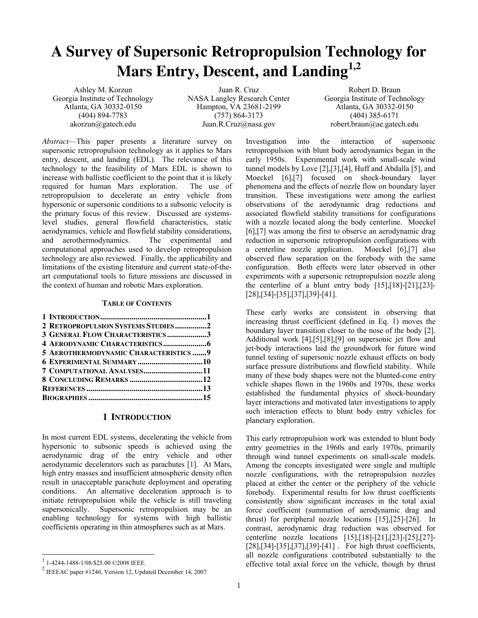# **A Survey of Supersonic Retropropulsion Technology for Mars Entry, Descent, and Landing1,2**

Ashley M. Korzun Georgia Institute of Technology Atlanta, GA 30332-0150 (404) 894-7783 akorzun@gatech.edu

Juan R. Cruz NASA Langley Research Center Hampton, VA 23681-2199 (757) 864-3173 Juan.R.Cruz@nasa.gov

Robert D. Braun Georgia Institute of Technology Atlanta, GA 30332-0150 (404) 385-6171 robert.braun@ae.gatech.edu

*Abstract*—This paper presents a literature survey on supersonic retropropulsion technology as it applies to Mars entry, descent, and landing (EDL). The relevance of this technology to the feasibility of Mars EDL is shown to increase with ballistic coefficient to the point that it is likely required for human Mars exploration. The use of retropropulsion to decelerate an entry vehicle from hypersonic or supersonic conditions to a subsonic velocity is the primary focus of this review. Discussed are systemslevel studies, general flowfield characteristics, static aerodynamics, vehicle and flowfield stability considerations, and aerothermodynamics. The experimental and computational approaches used to develop retropropulsion technology are also reviewed. Finally, the applicability and limitations of the existing literature and current state-of-theart computational tools to future missions are discussed in the context of human and robotic Mars exploration.

#### **TABLE OF CONTENTS**

| 2 RETROPROPULSION SYSTEMS STUDIES2    |  |
|---------------------------------------|--|
| 3 GENERAL FLOW CHARACTERISTICS3       |  |
|                                       |  |
| 5 AEROTHERMODYNAMIC CHARACTERISTICS 9 |  |
|                                       |  |
| 7 COMPUTATIONAL ANALYSES11            |  |
|                                       |  |
|                                       |  |
|                                       |  |
|                                       |  |

# **1 INTRODUCTION**

In most current EDL systems, decelerating the vehicle from hypersonic to subsonic speeds is achieved using the aerodynamic drag of the entry vehicle and other aerodynamic decelerators such as parachutes [1]. At Mars, high entry masses and insufficient atmospheric density often result in unacceptable parachute deployment and operating conditions. An alternative deceleration approach is to initiate retropropulsion while the vehicle is still traveling supersonically. Supersonic retropropulsion may be an enabling technology for systems with high ballistic coefficients operating in thin atmospheres such as at Mars.

Investigation into the interaction of supersonic retropropulsion with blunt body aerodynamics began in the early 1950s. Experimental work with small-scale wind tunnel models by Love [2],[3],[4], Huff and Abdalla [5], and Moeckel [6],[7] focused on shock-boundary layer phenomena and the effects of nozzle flow on boundary layer transition. These investigations were among the earliest observations of the aerodynamic drag reductions and associated flowfield stability transitions for configurations with a nozzle located along the body centerline. Moeckel [6],[7] was among the first to observe an aerodynamic drag reduction in supersonic retropropulsion configurations with a centerline nozzle application. Moeckel [6],[7] also observed flow separation on the forebody with the same configuration. Both effects were later observed in other experiments with a supersonic retropropulsion nozzle along the centerline of a blunt entry body [15],[18]-[21],[23]- [28],[34]-[35],[37],[39]-[41].

These early works are consistent in observing that increasing thrust coefficient (defined in Eq. 1) moves the boundary layer transition closer to the nose of the body [2]. Additional work [4],[5],[8],[9] on supersonic jet flow and jet-body interactions laid the groundwork for future wind tunnel testing of supersonic nozzle exhaust effects on body surface pressure distributions and flowfield stability. While many of these body shapes were not the blunted-cone entry vehicle shapes flown in the 1960s and 1970s, these works established the fundamental physics of shock-boundary layer interactions and motivated later investigations to apply such interaction effects to blunt body entry vehicles for planetary exploration.

This early retropropulsion work was extended to blunt body entry geometries in the 1960s and early 1970s, primarily through wind tunnel experiments on small-scale models. Among the concepts investigated were single and multiple nozzle configurations, with the retropropulsion nozzles placed at either the center or the periphery of the vehicle forebody. Experimental results for low thrust coefficients consistently show significant increases in the total axial force coefficient (summation of aerodynamic drag and thrust) for peripheral nozzle locations [15],[25]-[26]. In contrast, aerodynamic drag reduction was observed for centerline nozzle locations [15],[18]-[21],[23]-[25],[27]- [28],[34]-[35],[37],[39]-[41]. For high thrust coefficients, all nozzle configurations contributed substantially to the effective total axial force on the vehicle, though by thrust

 <sup>1</sup> 1-4244-1488-1/08/\$25.00 ©2008 IEEE.

<sup>2</sup> IEEEAC paper #1246, Version 12, Updated December 14, 2007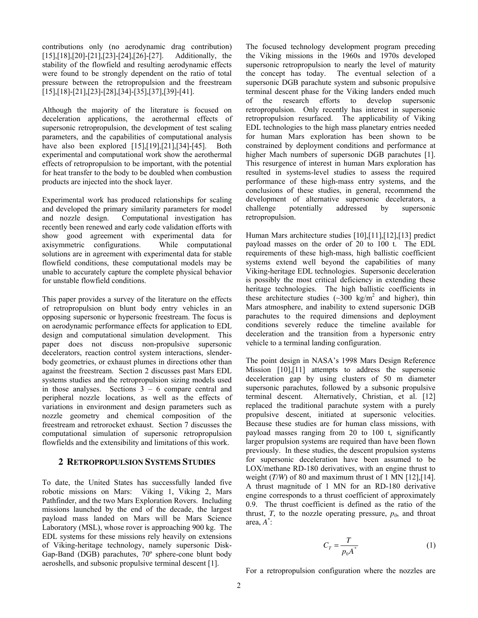contributions only (no aerodynamic drag contribution) [15],[18],[20]-[21],[23]-[24],[26]-[27]. Additionally, the stability of the flowfield and resulting aerodynamic effects were found to be strongly dependent on the ratio of total pressure between the retropropulsion and the freestream [15],[18]-[21],[23]-[28],[34]-[35],[37],[39]-[41].

Although the majority of the literature is focused on deceleration applications, the aerothermal effects of supersonic retropropulsion, the development of test scaling parameters, and the capabilities of computational analysis have also been explored [15],[19],[21],[34]-[45]. Both experimental and computational work show the aerothermal effects of retropropulsion to be important, with the potential for heat transfer to the body to be doubled when combustion products are injected into the shock layer.

Experimental work has produced relationships for scaling and developed the primary similarity parameters for model and nozzle design. Computational investigation has recently been renewed and early code validation efforts with show good agreement with experimental data for axisymmetric configurations. While computational solutions are in agreement with experimental data for stable flowfield conditions, these computational models may be unable to accurately capture the complete physical behavior for unstable flowfield conditions.

This paper provides a survey of the literature on the effects of retropropulsion on blunt body entry vehicles in an opposing supersonic or hypersonic freestream. The focus is on aerodynamic performance effects for application to EDL design and computational simulation development. This paper does not discuss non-propulsive supersonic decelerators, reaction control system interactions, slenderbody geometries, or exhaust plumes in directions other than against the freestream. Section 2 discusses past Mars EDL systems studies and the retropropulsion sizing models used in those analyses. Sections  $3 - 6$  compare central and peripheral nozzle locations, as well as the effects of variations in environment and design parameters such as nozzle geometry and chemical composition of the freestream and retrorocket exhaust. Section 7 discusses the computational simulation of supersonic retropropulsion flowfields and the extensibility and limitations of this work.

# **2 RETROPROPULSION SYSTEMS STUDIES**

To date, the United States has successfully landed five robotic missions on Mars: Viking 1, Viking 2, Mars Pathfinder, and the two Mars Exploration Rovers. Including missions launched by the end of the decade, the largest payload mass landed on Mars will be Mars Science Laboratory (MSL), whose rover is approaching 900 kg. The EDL systems for these missions rely heavily on extensions of Viking-heritage technology, namely supersonic Disk-Gap-Band (DGB) parachutes, 70º sphere-cone blunt body aeroshells, and subsonic propulsive terminal descent [1].

The focused technology development program preceding the Viking missions in the 1960s and 1970s developed supersonic retropropulsion to nearly the level of maturity the concept has today. The eventual selection of a supersonic DGB parachute system and subsonic propulsive terminal descent phase for the Viking landers ended much of the research efforts to develop supersonic retropropulsion. Only recently has interest in supersonic retropropulsion resurfaced. The applicability of Viking EDL technologies to the high mass planetary entries needed for human Mars exploration has been shown to be constrained by deployment conditions and performance at higher Mach numbers of supersonic DGB parachutes [1]. This resurgence of interest in human Mars exploration has resulted in systems-level studies to assess the required performance of these high-mass entry systems, and the conclusions of these studies, in general, recommend the development of alternative supersonic decelerators, a challenge potentially addressed by supersonic retropropulsion.

Human Mars architecture studies [10],[11],[12],[13] predict payload masses on the order of 20 to 100 t. The EDL requirements of these high-mass, high ballistic coefficient systems extend well beyond the capabilities of many Viking-heritage EDL technologies. Supersonic deceleration is possibly the most critical deficiency in extending these heritage technologies. The high ballistic coefficients in these architecture studies  $(\sim 300 \text{ kg/m}^2 \text{ and higher})$ , thin Mars atmosphere, and inability to extend supersonic DGB parachutes to the required dimensions and deployment conditions severely reduce the timeline available for deceleration and the transition from a hypersonic entry vehicle to a terminal landing configuration.

The point design in NASA's 1998 Mars Design Reference Mission [10],[11] attempts to address the supersonic deceleration gap by using clusters of 50 m diameter supersonic parachutes, followed by a subsonic propulsive terminal descent. Alternatively, Christian, et al. [12] replaced the traditional parachute system with a purely propulsive descent, initiated at supersonic velocities. Because these studies are for human class missions, with payload masses ranging from 20 to 100 t, significantly larger propulsion systems are required than have been flown previously. In these studies, the descent propulsion systems for supersonic deceleration have been assumed to be LOX/methane RD-180 derivatives, with an engine thrust to weight (*T/W*) of 80 and maximum thrust of 1 MN [12], [14]. A thrust magnitude of 1 MN for an RD-180 derivative engine corresponds to a thrust coefficient of approximately 0.9. The thrust coefficient is defined as the ratio of the thrust,  $T$ , to the nozzle operating pressure,  $p_0$ , and throat area, *A\** :

$$
C_T = \frac{T}{p_0 A^*} \tag{1}
$$

For a retropropulsion configuration where the nozzles are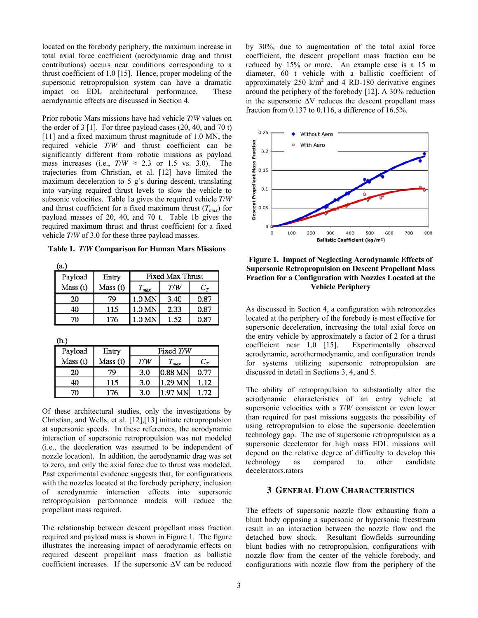located on the forebody periphery, the maximum increase in total axial force coefficient (aerodynamic drag and thrust contributions) occurs near conditions corresponding to a thrust coefficient of 1.0 [15]. Hence, proper modeling of the supersonic retropropulsion system can have a dramatic impact on EDL architectural performance. These aerodynamic effects are discussed in Section 4.

Prior robotic Mars missions have had vehicle *T/W* values on the order of 3 [1]. For three payload cases (20, 40, and 70 t) [11] and a fixed maximum thrust magnitude of 1.0 MN, the required vehicle *T/W* and thrust coefficient can be significantly different from robotic missions as payload mass increases (i.e.,  $T/W \approx 2.3$  or 1.5 vs. 3.0). The trajectories from Christian, et al. [12] have limited the maximum deceleration to 5 g's during descent, translating into varying required thrust levels to slow the vehicle to subsonic velocities. Table 1a gives the required vehicle *T/W* and thrust coefficient for a fixed maximum thrust  $(T_{max})$  for payload masses of 20, 40, and 70 t. Table 1b gives the required maximum thrust and thrust coefficient for a fixed vehicle *T/W* of 3.0 for these three payload masses.

**Table 1.** *T/W* **Comparison for Human Mars Missions**

 $T_{max}$ 

 $1.0 M<sub>N</sub>$ 

1.0 MN

1.0 MN

Entry

Mass (t)

79

115

176

**Fixed Max Thrust** 

 $T/W$ 

3.40

2.33

1.52

 $C_T$ 

0.87

0.87

0.87

 $(a.)$ 

Payload

Mass (t)

20

40

70

| ۱ |  |  |  |
|---|--|--|--|

| (b.)    |          |           |           |         |
|---------|----------|-----------|-----------|---------|
| Payload | Entry    | Fixed T/W |           |         |
| Mass(t) | Mass (t) | T/W       | max       | $C_{T}$ |
| 20      | 79       | 3.0       | $0.88$ MN | 0.77    |
| 40      | 115      | 3.0       | 1.29 MN   | 1.12    |
| 70      | 176      | 3.0       | 1.97 MN   | 1.72    |

Of these architectural studies, only the investigations by Christian, and Wells, et al. [12],[13] initiate retropropulsion at supersonic speeds. In these references, the aerodynamic interaction of supersonic retropropulsion was not modeled (i.e., the deceleration was assumed to be independent of nozzle location). In addition, the aerodynamic drag was set to zero, and only the axial force due to thrust was modeled. Past experimental evidence suggests that, for configurations with the nozzles located at the forebody periphery, inclusion of aerodynamic interaction effects into supersonic retropropulsion performance models will reduce the propellant mass required.

The relationship between descent propellant mass fraction required and payload mass is shown in Figure 1. The figure illustrates the increasing impact of aerodynamic effects on required descent propellant mass fraction as ballistic coefficient increases. If the supersonic ∆V can be reduced

by 30%, due to augmentation of the total axial force coefficient, the descent propellant mass fraction can be reduced by 15% or more. An example case is a 15 m diameter, 60 t vehicle with a ballistic coefficient of approximately  $250 \text{ k/m}^2$  and 4 RD-180 derivative engines around the periphery of the forebody [12]. A 30% reduction in the supersonic ∆V reduces the descent propellant mass fraction from 0.137 to 0.116, a difference of 16.5%.



# **Figure 1. Impact of Neglecting Aerodynamic Effects of Supersonic Retropropulsion on Descent Propellant Mass Fraction for a Configuration with Nozzles Located at the Vehicle Periphery**

As discussed in Section 4, a configuration with retronozzles located at the periphery of the forebody is most effective for supersonic deceleration, increasing the total axial force on the entry vehicle by approximately a factor of 2 for a thrust coefficient near 1.0 [15]. Experimentally observed aerodynamic, aerothermodynamic, and configuration trends for systems utilizing supersonic retropropulsion are discussed in detail in Sections 3, 4, and 5.

The ability of retropropulsion to substantially alter the aerodynamic characteristics of an entry vehicle at supersonic velocities with a *T/W* consistent or even lower than required for past missions suggests the possibility of using retropropulsion to close the supersonic deceleration technology gap. The use of supersonic retropropulsion as a supersonic decelerator for high mass EDL missions will depend on the relative degree of difficulty to develop this technology as compared to other candidate decelerators.rators

# **3 GENERAL FLOW CHARACTERISTICS**

The effects of supersonic nozzle flow exhausting from a blunt body opposing a supersonic or hypersonic freestream result in an interaction between the nozzle flow and the detached bow shock. Resultant flowfields surrounding blunt bodies with no retropropulsion, configurations with nozzle flow from the center of the vehicle forebody, and configurations with nozzle flow from the periphery of the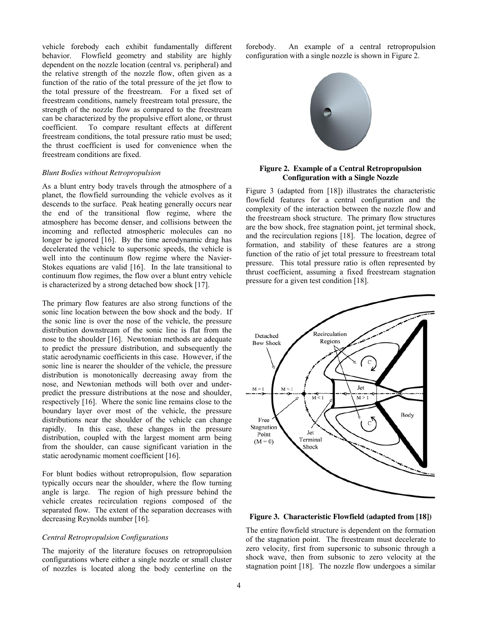vehicle forebody each exhibit fundamentally different behavior. Flowfield geometry and stability are highly dependent on the nozzle location (central vs. peripheral) and the relative strength of the nozzle flow, often given as a function of the ratio of the total pressure of the jet flow to the total pressure of the freestream. For a fixed set of freestream conditions, namely freestream total pressure, the strength of the nozzle flow as compared to the freestream can be characterized by the propulsive effort alone, or thrust coefficient. To compare resultant effects at different freestream conditions, the total pressure ratio must be used; the thrust coefficient is used for convenience when the freestream conditions are fixed.

#### *Blunt Bodies without Retropropulsion*

As a blunt entry body travels through the atmosphere of a planet, the flowfield surrounding the vehicle evolves as it descends to the surface. Peak heating generally occurs near the end of the transitional flow regime, where the atmosphere has become denser, and collisions between the incoming and reflected atmospheric molecules can no longer be ignored [16]. By the time aerodynamic drag has decelerated the vehicle to supersonic speeds, the vehicle is well into the continuum flow regime where the Navier-Stokes equations are valid [16]. In the late transitional to continuum flow regimes, the flow over a blunt entry vehicle is characterized by a strong detached bow shock [17].

The primary flow features are also strong functions of the sonic line location between the bow shock and the body. If the sonic line is over the nose of the vehicle, the pressure distribution downstream of the sonic line is flat from the nose to the shoulder [16]. Newtonian methods are adequate to predict the pressure distribution, and subsequently the static aerodynamic coefficients in this case. However, if the sonic line is nearer the shoulder of the vehicle, the pressure distribution is monotonically decreasing away from the nose, and Newtonian methods will both over and underpredict the pressure distributions at the nose and shoulder, respectively [16]. Where the sonic line remains close to the boundary layer over most of the vehicle, the pressure distributions near the shoulder of the vehicle can change rapidly. In this case, these changes in the pressure distribution, coupled with the largest moment arm being from the shoulder, can cause significant variation in the static aerodynamic moment coefficient [16].

For blunt bodies without retropropulsion, flow separation typically occurs near the shoulder, where the flow turning angle is large. The region of high pressure behind the vehicle creates recirculation regions composed of the separated flow. The extent of the separation decreases with decreasing Reynolds number [16].

#### *Central Retropropulsion Configurations*

The majority of the literature focuses on retropropulsion configurations where either a single nozzle or small cluster of nozzles is located along the body centerline on the

forebody. An example of a central retropropulsion configuration with a single nozzle is shown in Figure 2.



# **Figure 2. Example of a Central Retropropulsion Configuration with a Single Nozzle**

Figure 3 (adapted from [18]) illustrates the characteristic flowfield features for a central configuration and the complexity of the interaction between the nozzle flow and the freestream shock structure. The primary flow structures are the bow shock, free stagnation point, jet terminal shock, and the recirculation regions [18]. The location, degree of formation, and stability of these features are a strong function of the ratio of jet total pressure to freestream total pressure. This total pressure ratio is often represented by thrust coefficient, assuming a fixed freestream stagnation pressure for a given test condition [18].



**Figure 3. Characteristic Flowfield (adapted from [18])**

The entire flowfield structure is dependent on the formation of the stagnation point. The freestream must decelerate to zero velocity, first from supersonic to subsonic through a shock wave, then from subsonic to zero velocity at the stagnation point [18]. The nozzle flow undergoes a similar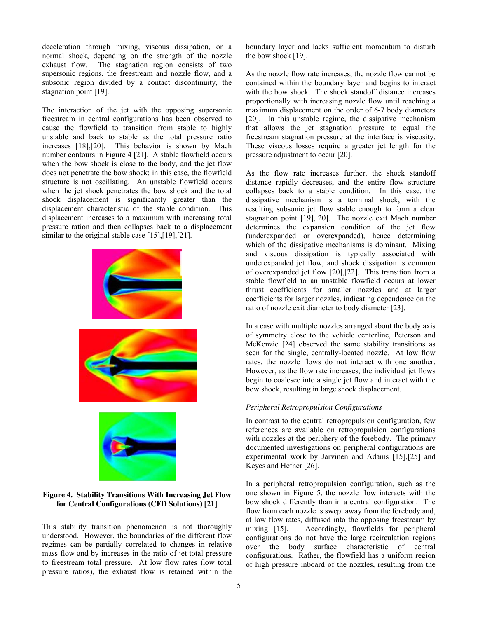deceleration through mixing, viscous dissipation, or a normal shock, depending on the strength of the nozzle exhaust flow. The stagnation region consists of two supersonic regions, the freestream and nozzle flow, and a subsonic region divided by a contact discontinuity, the stagnation point [19].

The interaction of the jet with the opposing supersonic freestream in central configurations has been observed to cause the flowfield to transition from stable to highly unstable and back to stable as the total pressure ratio increases [18],[20]. This behavior is shown by Mach number contours in Figure 4 [21]. A stable flowfield occurs when the bow shock is close to the body, and the jet flow does not penetrate the bow shock; in this case, the flowfield structure is not oscillating. An unstable flowfield occurs when the jet shock penetrates the bow shock and the total shock displacement is significantly greater than the displacement characteristic of the stable condition. This displacement increases to a maximum with increasing total pressure ration and then collapses back to a displacement similar to the original stable case [15],[19],[21].



# **Figure 4. Stability Transitions With Increasing Jet Flow for Central Configurations (CFD Solutions) [21]**

This stability transition phenomenon is not thoroughly understood. However, the boundaries of the different flow regimes can be partially correlated to changes in relative mass flow and by increases in the ratio of jet total pressure to freestream total pressure. At low flow rates (low total pressure ratios), the exhaust flow is retained within the

boundary layer and lacks sufficient momentum to disturb the bow shock [19].

As the nozzle flow rate increases, the nozzle flow cannot be contained within the boundary layer and begins to interact with the bow shock. The shock standoff distance increases proportionally with increasing nozzle flow until reaching a maximum displacement on the order of 6-7 body diameters [20]. In this unstable regime, the dissipative mechanism that allows the jet stagnation pressure to equal the freestream stagnation pressure at the interface is viscosity. These viscous losses require a greater jet length for the pressure adjustment to occur [20].

As the flow rate increases further, the shock standoff distance rapidly decreases, and the entire flow structure collapses back to a stable condition. In this case, the dissipative mechanism is a terminal shock, with the resulting subsonic jet flow stable enough to form a clear stagnation point [19],[20]. The nozzle exit Mach number determines the expansion condition of the jet flow (underexpanded or overexpanded), hence determining which of the dissipative mechanisms is dominant. Mixing and viscous dissipation is typically associated with underexpanded jet flow, and shock dissipation is common of overexpanded jet flow [20],[22]. This transition from a stable flowfield to an unstable flowfield occurs at lower thrust coefficients for smaller nozzles and at larger coefficients for larger nozzles, indicating dependence on the ratio of nozzle exit diameter to body diameter [23].

In a case with multiple nozzles arranged about the body axis of symmetry close to the vehicle centerline, Peterson and McKenzie [24] observed the same stability transitions as seen for the single, centrally-located nozzle. At low flow rates, the nozzle flows do not interact with one another. However, as the flow rate increases, the individual jet flows begin to coalesce into a single jet flow and interact with the bow shock, resulting in large shock displacement.

# *Peripheral Retropropulsion Configurations*

In contrast to the central retropropulsion configuration, few references are available on retropropulsion configurations with nozzles at the periphery of the forebody. The primary documented investigations on peripheral configurations are experimental work by Jarvinen and Adams [15],[25] and Keyes and Hefner [26].

In a peripheral retropropulsion configuration, such as the one shown in Figure 5, the nozzle flow interacts with the bow shock differently than in a central configuration. The flow from each nozzle is swept away from the forebody and, at low flow rates, diffused into the opposing freestream by mixing [15]. Accordingly, flowfields for peripheral configurations do not have the large recirculation regions over the body surface characteristic of central configurations. Rather, the flowfield has a uniform region of high pressure inboard of the nozzles, resulting from the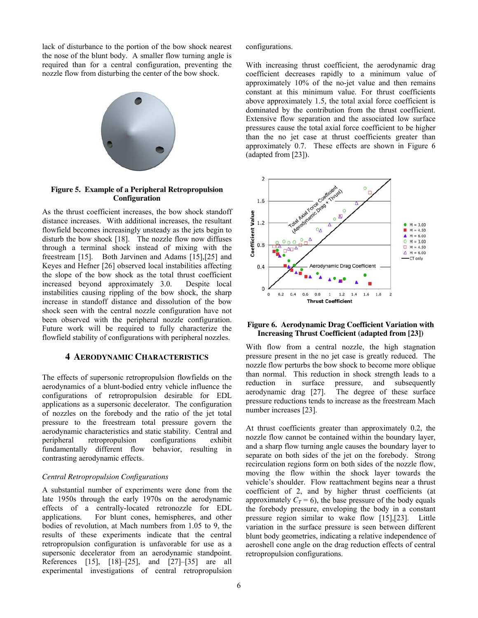lack of disturbance to the portion of the bow shock nearest the nose of the blunt body. A smaller flow turning angle is required than for a central configuration, preventing the nozzle flow from disturbing the center of the bow shock.



# **Figure 5. Example of a Peripheral Retropropulsion Configuration**

As the thrust coefficient increases, the bow shock standoff distance increases. With additional increases, the resultant flowfield becomes increasingly unsteady as the jets begin to disturb the bow shock [18]. The nozzle flow now diffuses through a terminal shock instead of mixing with the freestream [15]. Both Jarvinen and Adams [15],[25] and Keyes and Hefner [26] observed local instabilities affecting the slope of the bow shock as the total thrust coefficient increased beyond approximately 3.0. Despite local instabilities causing rippling of the bow shock, the sharp increase in standoff distance and dissolution of the bow shock seen with the central nozzle configuration have not been observed with the peripheral nozzle configuration. Future work will be required to fully characterize the flowfield stability of configurations with peripheral nozzles.

# **4 AERODYNAMIC CHARACTERISTICS**

The effects of supersonic retropropulsion flowfields on the aerodynamics of a blunt-bodied entry vehicle influence the configurations of retropropulsion desirable for EDL applications as a supersonic decelerator. The configuration of nozzles on the forebody and the ratio of the jet total pressure to the freestream total pressure govern the aerodynamic characteristics and static stability. Central and peripheral retropropulsion configurations exhibit fundamentally different flow behavior, resulting in contrasting aerodynamic effects.

# *Central Retropropulsion Configurations*

A substantial number of experiments were done from the late 1950s through the early 1970s on the aerodynamic effects of a centrally-located retronozzle for EDL applications. For blunt cones, hemispheres, and other bodies of revolution, at Mach numbers from 1.05 to 9, the results of these experiments indicate that the central retropropulsion configuration is unfavorable for use as a supersonic decelerator from an aerodynamic standpoint. References [15], [18]–[25], and [27]–[35] are all experimental investigations of central retropropulsion

configurations.

With increasing thrust coefficient, the aerodynamic drag coefficient decreases rapidly to a minimum value of approximately 10% of the no-jet value and then remains constant at this minimum value. For thrust coefficients above approximately 1.5, the total axial force coefficient is dominated by the contribution from the thrust coefficient. Extensive flow separation and the associated low surface pressures cause the total axial force coefficient to be higher than the no jet case at thrust coefficients greater than approximately 0.7. These effects are shown in Figure 6 (adapted from [23]).



#### **Figure 6. Aerodynamic Drag Coefficient Variation with Increasing Thrust Coefficient (adapted from [23])**

With flow from a central nozzle, the high stagnation pressure present in the no jet case is greatly reduced. The nozzle flow perturbs the bow shock to become more oblique than normal. This reduction in shock strength leads to a reduction in surface pressure, and subsequently aerodynamic drag [27]. The degree of these surface pressure reductions tends to increase as the freestream Mach number increases [23].

At thrust coefficients greater than approximately 0.2, the nozzle flow cannot be contained within the boundary layer, and a sharp flow turning angle causes the boundary layer to separate on both sides of the jet on the forebody. Strong recirculation regions form on both sides of the nozzle flow, moving the flow within the shock layer towards the vehicle's shoulder. Flow reattachment begins near a thrust coefficient of 2, and by higher thrust coefficients (at approximately  $C_T = 6$ ), the base pressure of the body equals the forebody pressure, enveloping the body in a constant pressure region similar to wake flow [15],[23]. Little variation in the surface pressure is seen between different blunt body geometries, indicating a relative independence of aeroshell cone angle on the drag reduction effects of central retropropulsion configurations.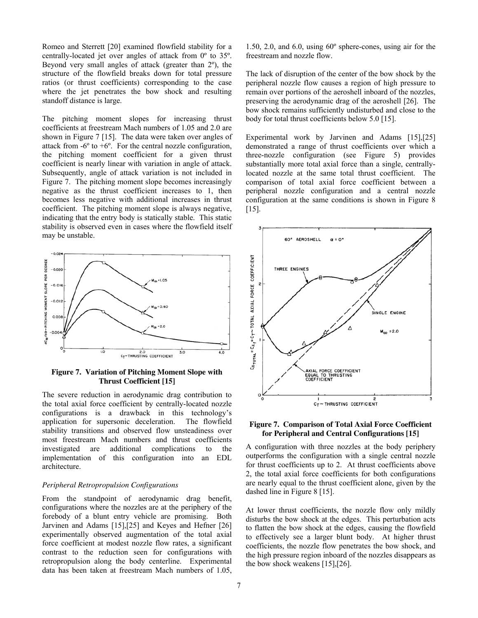Romeo and Sterrett [20] examined flowfield stability for a centrally-located jet over angles of attack from 0º to 35º. Beyond very small angles of attack (greater than 2º), the structure of the flowfield breaks down for total pressure ratios (or thrust coefficients) corresponding to the case where the jet penetrates the bow shock and resulting standoff distance is large.

The pitching moment slopes for increasing thrust coefficients at freestream Mach numbers of 1.05 and 2.0 are shown in Figure 7 [15]. The data were taken over angles of attack from  $-6^\circ$  to  $+6^\circ$ . For the central nozzle configuration, the pitching moment coefficient for a given thrust coefficient is nearly linear with variation in angle of attack. Subsequently, angle of attack variation is not included in Figure 7. The pitching moment slope becomes increasingly negative as the thrust coefficient increases to 1, then becomes less negative with additional increases in thrust coefficient. The pitching moment slope is always negative, indicating that the entry body is statically stable. This static stability is observed even in cases where the flowfield itself may be unstable.



**Figure 7. Variation of Pitching Moment Slope with Thrust Coefficient [15]** 

The severe reduction in aerodynamic drag contribution to the total axial force coefficient by centrally-located nozzle configurations is a drawback in this technology's application for supersonic deceleration. The flowfield stability transitions and observed flow unsteadiness over most freestream Mach numbers and thrust coefficients investigated are additional complications to the implementation of this configuration into an EDL architecture.

# *Peripheral Retropropulsion Configurations*

From the standpoint of aerodynamic drag benefit, configurations where the nozzles are at the periphery of the forebody of a blunt entry vehicle are promising. Both Jarvinen and Adams [15],[25] and Keyes and Hefner [26] experimentally observed augmentation of the total axial force coefficient at modest nozzle flow rates, a significant contrast to the reduction seen for configurations with retropropulsion along the body centerline. Experimental data has been taken at freestream Mach numbers of 1.05,

1.50, 2.0, and 6.0, using 60º sphere-cones, using air for the freestream and nozzle flow.

The lack of disruption of the center of the bow shock by the peripheral nozzle flow causes a region of high pressure to remain over portions of the aeroshell inboard of the nozzles, preserving the aerodynamic drag of the aeroshell [26]. The bow shock remains sufficiently undisturbed and close to the body for total thrust coefficients below 5.0 [15].

Experimental work by Jarvinen and Adams [15],[25] demonstrated a range of thrust coefficients over which a three-nozzle configuration (see Figure 5) provides substantially more total axial force than a single, centrallylocated nozzle at the same total thrust coefficient. The comparison of total axial force coefficient between a peripheral nozzle configuration and a central nozzle configuration at the same conditions is shown in Figure 8 [15].



# **Figure 7. Comparison of Total Axial Force Coefficient for Peripheral and Central Configurations [15]**

A configuration with three nozzles at the body periphery outperforms the configuration with a single central nozzle for thrust coefficients up to 2. At thrust coefficients above 2, the total axial force coefficients for both configurations are nearly equal to the thrust coefficient alone, given by the dashed line in Figure 8 [15].

At lower thrust coefficients, the nozzle flow only mildly disturbs the bow shock at the edges. This perturbation acts to flatten the bow shock at the edges, causing the flowfield to effectively see a larger blunt body. At higher thrust coefficients, the nozzle flow penetrates the bow shock, and the high pressure region inboard of the nozzles disappears as the bow shock weakens [15],[26].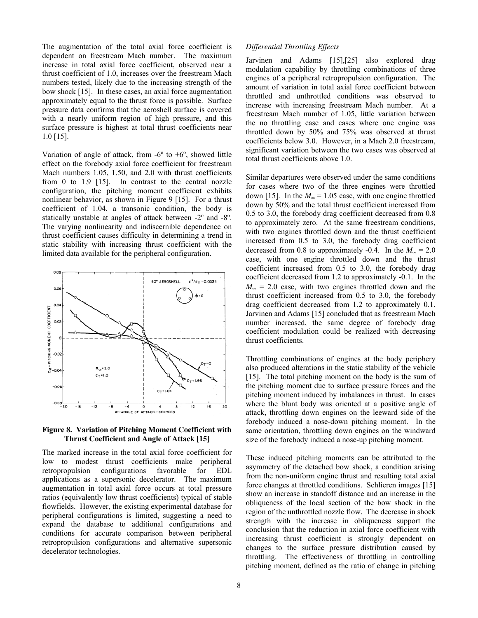The augmentation of the total axial force coefficient is dependent on freestream Mach number. The maximum increase in total axial force coefficient, observed near a thrust coefficient of 1.0, increases over the freestream Mach numbers tested, likely due to the increasing strength of the bow shock [15]. In these cases, an axial force augmentation approximately equal to the thrust force is possible. Surface pressure data confirms that the aeroshell surface is covered with a nearly uniform region of high pressure, and this surface pressure is highest at total thrust coefficients near 1.0 [15].

Variation of angle of attack, from  $-6^\circ$  to  $+6^\circ$ , showed little effect on the forebody axial force coefficient for freestream Mach numbers 1.05, 1.50, and 2.0 with thrust coefficients from 0 to 1.9 [15]. In contrast to the central nozzle configuration, the pitching moment coefficient exhibits nonlinear behavior, as shown in Figure 9 [15]. For a thrust coefficient of 1.04, a transonic condition, the body is statically unstable at angles of attack between -2º and -8º. The varying nonlinearity and indiscernible dependence on thrust coefficient causes difficulty in determining a trend in static stability with increasing thrust coefficient with the limited data available for the peripheral configuration.



#### **Figure 8. Variation of Pitching Moment Coefficient with Thrust Coefficient and Angle of Attack [15]**

The marked increase in the total axial force coefficient for low to modest thrust coefficients make peripheral retropropulsion configurations favorable for EDL applications as a supersonic decelerator. The maximum augmentation in total axial force occurs at total pressure ratios (equivalently low thrust coefficients) typical of stable flowfields. However, the existing experimental database for peripheral configurations is limited, suggesting a need to expand the database to additional configurations and conditions for accurate comparison between peripheral retropropulsion configurations and alternative supersonic decelerator technologies.

# *Differential Throttling Effects*

Jarvinen and Adams [15],[25] also explored drag modulation capability by throttling combinations of three engines of a peripheral retropropulsion configuration. The amount of variation in total axial force coefficient between throttled and unthrottled conditions was observed to increase with increasing freestream Mach number. At a freestream Mach number of 1.05, little variation between the no throttling case and cases where one engine was throttled down by 50% and 75% was observed at thrust coefficients below 3.0. However, in a Mach 2.0 freestream, significant variation between the two cases was observed at total thrust coefficients above 1.0.

Similar departures were observed under the same conditions for cases where two of the three engines were throttled down [15]. In the  $M_{\infty}$  = 1.05 case, with one engine throttled down by 50% and the total thrust coefficient increased from 0.5 to 3.0, the forebody drag coefficient decreased from 0.8 to approximately zero. At the same freestream conditions, with two engines throttled down and the thrust coefficient increased from 0.5 to 3.0, the forebody drag coefficient decreased from 0.8 to approximately -0.4. In the  $M_{\infty} = 2.0$ case, with one engine throttled down and the thrust coefficient increased from 0.5 to 3.0, the forebody drag coefficient decreased from 1.2 to approximately -0.1. In the  $M_{\infty}$  = 2.0 case, with two engines throttled down and the thrust coefficient increased from 0.5 to 3.0, the forebody drag coefficient decreased from 1.2 to approximately 0.1. Jarvinen and Adams [15] concluded that as freestream Mach number increased, the same degree of forebody drag coefficient modulation could be realized with decreasing thrust coefficients.

Throttling combinations of engines at the body periphery also produced alterations in the static stability of the vehicle [15]. The total pitching moment on the body is the sum of the pitching moment due to surface pressure forces and the pitching moment induced by imbalances in thrust. In cases where the blunt body was oriented at a positive angle of attack, throttling down engines on the leeward side of the forebody induced a nose-down pitching moment. In the same orientation, throttling down engines on the windward size of the forebody induced a nose-up pitching moment.

These induced pitching moments can be attributed to the asymmetry of the detached bow shock, a condition arising from the non-uniform engine thrust and resulting total axial force changes at throttled conditions. Schlieren images [15] show an increase in standoff distance and an increase in the obliqueness of the local section of the bow shock in the region of the unthrottled nozzle flow. The decrease in shock strength with the increase in obliqueness support the conclusion that the reduction in axial force coefficient with increasing thrust coefficient is strongly dependent on changes to the surface pressure distribution caused by throttling. The effectiveness of throttling in controlling pitching moment, defined as the ratio of change in pitching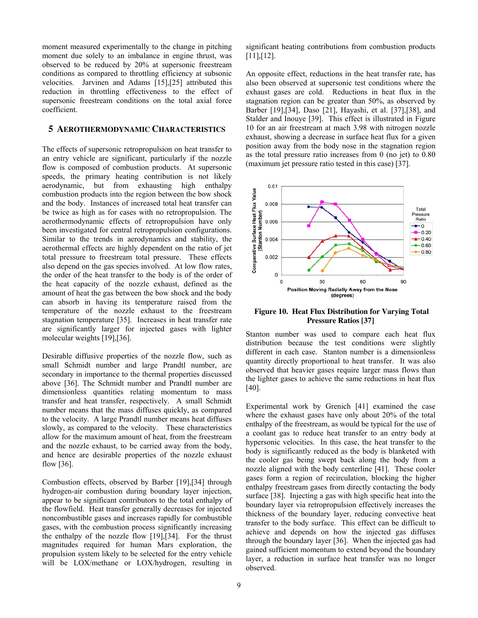moment measured experimentally to the change in pitching moment due solely to an imbalance in engine thrust, was observed to be reduced by 20% at supersonic freestream conditions as compared to throttling efficiency at subsonic velocities. Jarvinen and Adams [15],[25] attributed this reduction in throttling effectiveness to the effect of supersonic freestream conditions on the total axial force coefficient.

# **5 AEROTHERMODYNAMIC CHARACTERISTICS**

The effects of supersonic retropropulsion on heat transfer to an entry vehicle are significant, particularly if the nozzle flow is composed of combustion products. At supersonic speeds, the primary heating contribution is not likely aerodynamic, but from exhausting high enthalpy combustion products into the region between the bow shock and the body. Instances of increased total heat transfer can be twice as high as for cases with no retropropulsion. The aerothermodynamic effects of retropropulsion have only been investigated for central retropropulsion configurations. Similar to the trends in aerodynamics and stability, the aerothermal effects are highly dependent on the ratio of jet total pressure to freestream total pressure. These effects also depend on the gas species involved. At low flow rates, the order of the heat transfer to the body is of the order of the heat capacity of the nozzle exhaust, defined as the amount of heat the gas between the bow shock and the body can absorb in having its temperature raised from the temperature of the nozzle exhaust to the freestream stagnation temperature [35]. Increases in heat transfer rate are significantly larger for injected gases with lighter molecular weights [19],[36].

Desirable diffusive properties of the nozzle flow, such as small Schmidt number and large Prandtl number, are secondary in importance to the thermal properties discussed above [36]. The Schmidt number and Prandtl number are dimensionless quantities relating momentum to mass transfer and heat transfer, respectively. A small Schmidt number means that the mass diffuses quickly, as compared to the velocity. A large Prandtl number means heat diffuses slowly, as compared to the velocity. These characteristics allow for the maximum amount of heat, from the freestream and the nozzle exhaust, to be carried away from the body, and hence are desirable properties of the nozzle exhaust flow [36].

Combustion effects, observed by Barber [19],[34] through hydrogen-air combustion during boundary layer injection, appear to be significant contributors to the total enthalpy of the flowfield. Heat transfer generally decreases for injected noncombustible gases and increases rapidly for combustible gases, with the combustion process significantly increasing the enthalpy of the nozzle flow [19],[34]. For the thrust magnitudes required for human Mars exploration, the propulsion system likely to be selected for the entry vehicle will be LOX/methane or LOX/hydrogen, resulting in

significant heating contributions from combustion products [11],[12].

An opposite effect, reductions in the heat transfer rate, has also been observed at supersonic test conditions where the exhaust gases are cold. Reductions in heat flux in the stagnation region can be greater than 50%, as observed by Barber [19],[34], Daso [21], Hayashi, et al. [37],[38], and Stalder and Inouye [39]. This effect is illustrated in Figure 10 for an air freestream at mach 3.98 with nitrogen nozzle exhaust, showing a decrease in surface heat flux for a given position away from the body nose in the stagnation region as the total pressure ratio increases from 0 (no jet) to 0.80 (maximum jet pressure ratio tested in this case) [37].



**Figure 10. Heat Flux Distribution for Varying Total Pressure Ratios [37]** 

Stanton number was used to compare each heat flux distribution because the test conditions were slightly different in each case. Stanton number is a dimensionless quantity directly proportional to heat transfer. It was also observed that heavier gases require larger mass flows than the lighter gases to achieve the same reductions in heat flux [40].

Experimental work by Grenich [41] examined the case where the exhaust gases have only about 20% of the total enthalpy of the freestream, as would be typical for the use of a coolant gas to reduce heat transfer to an entry body at hypersonic velocities. In this case, the heat transfer to the body is significantly reduced as the body is blanketed with the cooler gas being swept back along the body from a nozzle aligned with the body centerline [41]. These cooler gases form a region of recirculation, blocking the higher enthalpy freestream gases from directly contacting the body surface [38]. Injecting a gas with high specific heat into the boundary layer via retropropulsion effectively increases the thickness of the boundary layer, reducing convective heat transfer to the body surface. This effect can be difficult to achieve and depends on how the injected gas diffuses through the boundary layer [36]. When the injected gas had gained sufficient momentum to extend beyond the boundary layer, a reduction in surface heat transfer was no longer observed.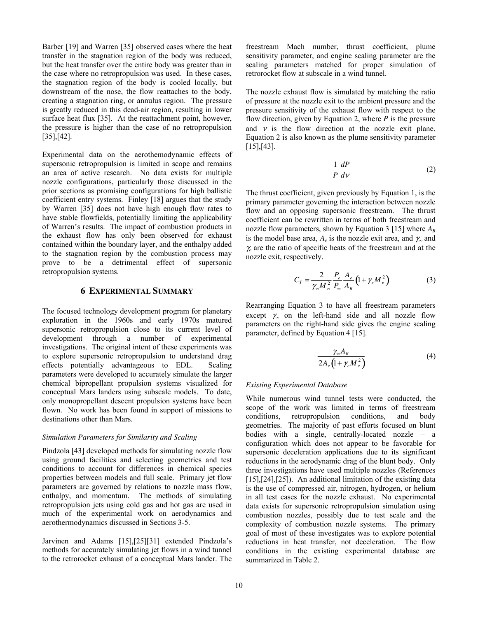Barber [19] and Warren [35] observed cases where the heat transfer in the stagnation region of the body was reduced, but the heat transfer over the entire body was greater than in the case where no retropropulsion was used. In these cases, the stagnation region of the body is cooled locally, but downstream of the nose, the flow reattaches to the body, creating a stagnation ring, or annulus region. The pressure is greatly reduced in this dead-air region, resulting in lower surface heat flux [35]. At the reattachment point, however, the pressure is higher than the case of no retropropulsion [35],[42].

Experimental data on the aerothemodynamic effects of supersonic retropropulsion is limited in scope and remains an area of active research. No data exists for multiple nozzle configurations, particularly those discussed in the prior sections as promising configurations for high ballistic coefficient entry systems. Finley [18] argues that the study by Warren [35] does not have high enough flow rates to have stable flowfields, potentially limiting the applicability of Warren's results. The impact of combustion products in the exhaust flow has only been observed for exhaust contained within the boundary layer, and the enthalpy added to the stagnation region by the combustion process may prove to be a detrimental effect of supersonic retropropulsion systems.

## **6 EXPERIMENTAL SUMMARY**

The focused technology development program for planetary exploration in the 1960s and early 1970s matured supersonic retropropulsion close to its current level of development through a number of experimental investigations. The original intent of these experiments was to explore supersonic retropropulsion to understand drag effects potentially advantageous to EDL. Scaling parameters were developed to accurately simulate the larger chemical bipropellant propulsion systems visualized for conceptual Mars landers using subscale models. To date, only monopropellant descent propulsion systems have been flown. No work has been found in support of missions to destinations other than Mars.

# *Simulation Parameters for Similarity and Scaling*

Pindzola [43] developed methods for simulating nozzle flow using ground facilities and selecting geometries and test conditions to account for differences in chemical species properties between models and full scale. Primary jet flow parameters are governed by relations to nozzle mass flow, enthalpy, and momentum. The methods of simulating retropropulsion jets using cold gas and hot gas are used in much of the experimental work on aerodynamics and aerothermodynamics discussed in Sections 3-5.

Jarvinen and Adams [15],[25][31] extended Pindzola's methods for accurately simulating jet flows in a wind tunnel to the retrorocket exhaust of a conceptual Mars lander. The The nozzle exhaust flow is simulated by matching the ratio of pressure at the nozzle exit to the ambient pressure and the pressure sensitivity of the exhaust flow with respect to the flow direction, given by Equation 2, where *P* is the pressure and  $\nu$  is the flow direction at the nozzle exit plane. Equation 2 is also known as the plume sensitivity parameter [15],[43].

$$
\frac{1}{P}\frac{dP}{dV}\tag{2}
$$

The thrust coefficient, given previously by Equation 1, is the primary parameter governing the interaction between nozzle flow and an opposing supersonic freestream. The thrust coefficient can be rewritten in terms of both freestream and nozzle flow parameters, shown by Equation 3 [15] where  $A_B$ is the model base area,  $A_e$  is the nozzle exit area, and  $\gamma_{\infty}$  and <sup>γ</sup>*<sup>e</sup>* are the ratio of specific heats of the freestream and at the nozzle exit, respectively.

$$
C_T = \frac{2}{\gamma_\infty M_\infty^2} \frac{P_e}{P_\infty} \frac{A_e}{A_B} \left( 1 + \gamma_e M_e^2 \right) \tag{3}
$$

Rearranging Equation 3 to have all freestream parameters except  $\gamma_{\infty}$  on the left-hand side and all nozzle flow parameters on the right-hand side gives the engine scaling parameter, defined by Equation 4 [15].

$$
\frac{\gamma_{\infty}A_B}{2A_e\left(1+\gamma_e M_e^2\right)}\tag{4}
$$

# *Existing Experimental Database*

While numerous wind tunnel tests were conducted, the scope of the work was limited in terms of freestream conditions, retropropulsion conditions, and body geometries. The majority of past efforts focused on blunt bodies with a single, centrally-located nozzle – a configuration which does not appear to be favorable for supersonic deceleration applications due to its significant reductions in the aerodynamic drag of the blunt body. Only three investigations have used multiple nozzles (References [15],[24],[25]). An additional limitation of the existing data is the use of compressed air, nitrogen, hydrogen, or helium in all test cases for the nozzle exhaust. No experimental data exists for supersonic retropropulsion simulation using combustion nozzles, possibly due to test scale and the complexity of combustion nozzle systems. The primary goal of most of these investigates was to explore potential reductions in heat transfer, not deceleration. The flow conditions in the existing experimental database are summarized in Table 2.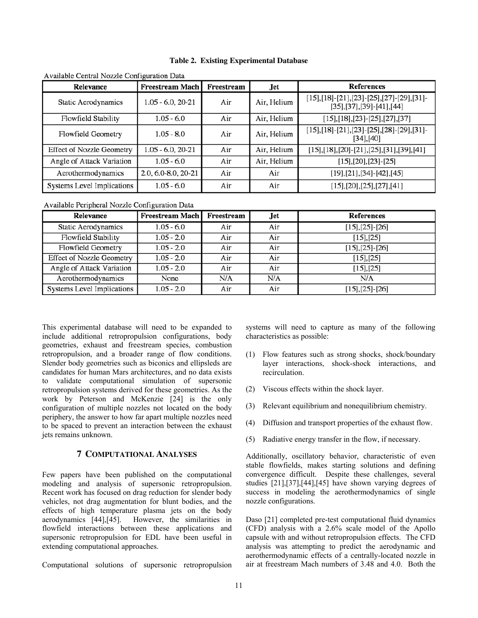| Relevance                        | <b>Freestream Mach</b> | Freestream | Jet         | <b>References</b>                                                        |
|----------------------------------|------------------------|------------|-------------|--------------------------------------------------------------------------|
| Static Aerodynamics              | $1.05 - 6.0, 20 - 21$  | Air        | Air, Helium | $[15],[18]-[21],[23]-[25],[27]-[29],[31]-$<br>$[35],[37],[39]-[41],[44]$ |
| Flowfield Stability              | $1.05 - 6.0$           | Air        | Air, Helium | $[15],[18],[23]-[25],[27],[37]$                                          |
| Flowfield Geometry               | $1.05 - 8.0$           | Air        | Air, Helium | $[15],[18]-[21],[23]-[25],[28]-[29],[31]-$<br>[34],[40]                  |
| <b>Effect of Nozzle Geometry</b> | $1.05 - 6.0, 20 - 21$  | Air        | Air, Helium | $[15],[18],[20]-[21],[25],[31],[39],[41]$                                |
| Angle of Attack Variation        | $1.05 - 6.0$           | Air        | Air, Helium | $[15], [20], [23]$ - $[25]$                                              |
| Aerothermodynamics               | 2.0, 6.0-8.0, 20-21    | Air        | Air         | $[19],[21],[34]-[42],[45]$                                               |
| Systems Level Implications       | $1.05 - 6.0$           | Air        | Air         | [15],[20],[25],[27],[41]                                                 |

Available Central Nozzle Configuration Data

Available Peripheral Nozzle Configuration Data

| Relevance                        | Freestream Mach Freestream |     | Jet | <b>References</b>        |
|----------------------------------|----------------------------|-----|-----|--------------------------|
| <b>Static Aerodynamics</b>       | $1.05 - 6.0$               | Air | Air | $[15]$ , $[25]$ - $[26]$ |
| Flowfield Stability              | $1.05 - 2.0$               | Air | Air | $[15]$ , $[25]$          |
| Flowfield Geometry               | $1.05 - 2.0$               | Air | Air | $[15]$ , $[25]$ - $[26]$ |
| <b>Effect of Nozzle Geometry</b> | $1.05 - 2.0$               | Air | Air | $[15]$ , $[25]$          |
| Angle of Attack Variation        | $1.05 - 2.0$               | Air | Air | [15],[25]                |
| Aerothermodynamics               | None                       | N/A | N/A | N/A                      |
| Systems Level Implications       | $1.05 - 2.0$               | Air | Air | $[15],[25]-[26]$         |

This experimental database will need to be expanded to include additional retropropulsion configurations, body geometries, exhaust and freestream species, combustion retropropulsion, and a broader range of flow conditions. Slender body geometries such as biconics and ellipsleds are candidates for human Mars architectures, and no data exists to validate computational simulation of supersonic retropropulsion systems derived for these geometries. As the work by Peterson and McKenzie [24] is the only configuration of multiple nozzles not located on the body periphery, the answer to how far apart multiple nozzles need to be spaced to prevent an interaction between the exhaust jets remains unknown.

# **7 COMPUTATIONAL ANALYSES**

Few papers have been published on the computational modeling and analysis of supersonic retropropulsion. Recent work has focused on drag reduction for slender body vehicles, not drag augmentation for blunt bodies, and the effects of high temperature plasma jets on the body aerodynamics [44],[45]. However, the similarities in flowfield interactions between these applications and supersonic retropropulsion for EDL have been useful in extending computational approaches.

Computational solutions of supersonic retropropulsion

systems will need to capture as many of the following characteristics as possible:

- (1) Flow features such as strong shocks, shock/boundary layer interactions, shock-shock interactions, and recirculation.
- (2) Viscous effects within the shock layer.
- (3) Relevant equilibrium and nonequilibrium chemistry.
- (4) Diffusion and transport properties of the exhaust flow.
- (5) Radiative energy transfer in the flow, if necessary.

Additionally, oscillatory behavior, characteristic of even stable flowfields, makes starting solutions and defining convergence difficult. Despite these challenges, several studies [21],[37],[44],[45] have shown varying degrees of success in modeling the aerothermodynamics of single nozzle configurations.

Daso [21] completed pre-test computational fluid dynamics (CFD) analysis with a 2.6% scale model of the Apollo capsule with and without retropropulsion effects. The CFD analysis was attempting to predict the aerodynamic and aerothermodynamic effects of a centrally-located nozzle in air at freestream Mach numbers of 3.48 and 4.0. Both the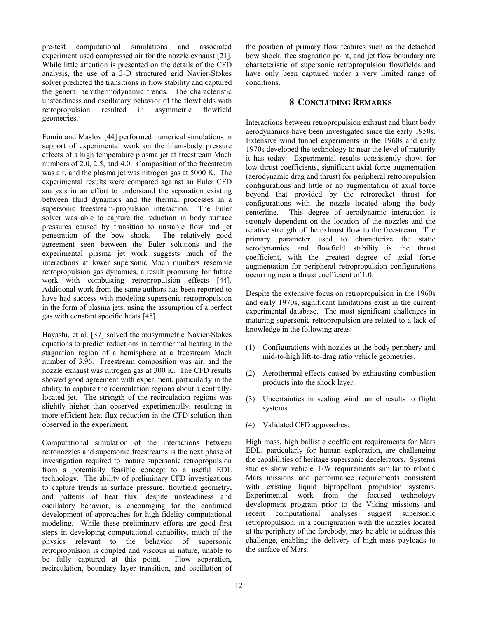pre-test computational simulations and associated experiment used compressed air for the nozzle exhaust [21]. While little attention is presented on the details of the CFD analysis, the use of a 3-D structured grid Navier-Stokes solver predicted the transitions in flow stability and captured the general aerothermodynamic trends. The characteristic unsteadiness and oscillatory behavior of the flowfields with retropropulsion resulted in asymmetric flowfield geometries.

Fomin and Maslov [44] performed numerical simulations in support of experimental work on the blunt-body pressure effects of a high temperature plasma jet at freestream Mach numbers of 2.0, 2.5, and 4.0. Composition of the freestream was air, and the plasma jet was nitrogen gas at 5000 K. The experimental results were compared against an Euler CFD analysis in an effort to understand the separation existing between fluid dynamics and the thermal processes in a supersonic freestream-propulsion interaction. The Euler solver was able to capture the reduction in body surface pressures caused by transition to unstable flow and jet penetration of the bow shock. The relatively good agreement seen between the Euler solutions and the experimental plasma jet work suggests much of the interactions at lower supersonic Mach numbers resemble retropropulsion gas dynamics, a result promising for future work with combusting retropropulsion effects [44]. Additional work from the same authors has been reported to have had success with modeling supersonic retropropulsion in the form of plasma jets, using the assumption of a perfect gas with constant specific heats [45].

Hayashi, et al. [37] solved the axisymmetric Navier-Stokes equations to predict reductions in aerothermal heating in the stagnation region of a hemisphere at a freestream Mach number of 3.96. Freestream composition was air, and the nozzle exhaust was nitrogen gas at 300 K. The CFD results showed good agreement with experiment, particularly in the ability to capture the recirculation regions about a centrallylocated jet. The strength of the recirculation regions was slightly higher than observed experimentally, resulting in more efficient heat flux reduction in the CFD solution than observed in the experiment.

Computational simulation of the interactions between retronozzles and supersonic freestreams is the next phase of investigation required to mature supersonic retropropulsion from a potentially feasible concept to a useful EDL technology. The ability of preliminary CFD investigations to capture trends in surface pressure, flowfield geometry, and patterns of heat flux, despite unsteadiness and oscillatory behavior, is encouraging for the continued development of approaches for high-fidelity computational modeling. While these preliminary efforts are good first steps in developing computational capability, much of the physics relevant to the behavior of supersonic retropropulsion is coupled and viscous in nature, unable to be fully captured at this point. Flow separation, recirculation, boundary layer transition, and oscillation of the position of primary flow features such as the detached bow shock, free stagnation point, and jet flow boundary are characteristic of supersonic retropropulsion flowfields and have only been captured under a very limited range of conditions.

# **8 CONCLUDING REMARKS**

Interactions between retropropulsion exhaust and blunt body aerodynamics have been investigated since the early 1950s. Extensive wind tunnel experiments in the 1960s and early 1970s developed the technology to near the level of maturity it has today. Experimental results consistently show, for low thrust coefficients, significant axial force augmentation (aerodynamic drag and thrust) for peripheral retropropulsion configurations and little or no augmentation of axial force beyond that provided by the retrorocket thrust for configurations with the nozzle located along the body centerline. This degree of aerodynamic interaction is strongly dependent on the location of the nozzles and the relative strength of the exhaust flow to the freestream. The primary parameter used to characterize the static aerodynamics and flowfield stability is the thrust coefficient, with the greatest degree of axial force augmentation for peripheral retropropulsion configurations occurring near a thrust coefficient of 1.0.

Despite the extensive focus on retropropulsion in the 1960s and early 1970s, significant limitations exist in the current experimental database. The most significant challenges in maturing supersonic retropropulsion are related to a lack of knowledge in the following areas:

- (1) Configurations with nozzles at the body periphery and mid-to-high lift-to-drag ratio vehicle geometries.
- (2) Aerothermal effects caused by exhausting combustion products into the shock layer.
- (3) Uncertainties in scaling wind tunnel results to flight systems.
- (4) Validated CFD approaches.

High mass, high ballistic coefficient requirements for Mars EDL, particularly for human exploration, are challenging the capabilities of heritage supersonic decelerators. Systems studies show vehicle T/W requirements similar to robotic Mars missions and performance requirements consistent with existing liquid bipropellant propulsion systems. Experimental work from the focused technology development program prior to the Viking missions and recent computational analyses suggest supersonic retropropulsion, in a configuration with the nozzles located at the periphery of the forebody, may be able to address this challenge, enabling the delivery of high-mass payloads to the surface of Mars.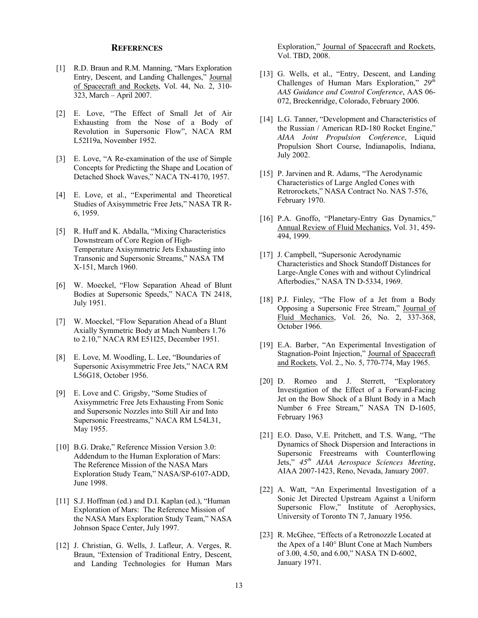# **REFERENCES**

- [1] R.D. Braun and R.M. Manning, "Mars Exploration Entry, Descent, and Landing Challenges," Journal of Spacecraft and Rockets, Vol. 44, No. 2, 310- 323, March – April 2007.
- [2] E. Love, "The Effect of Small Jet of Air Exhausting from the Nose of a Body of Revolution in Supersonic Flow", NACA RM L52I19a, November 1952.
- [3] E. Love, "A Re-examination of the use of Simple Concepts for Predicting the Shape and Location of Detached Shock Waves," NACA TN-4170, 1957.
- [4] E. Love, et al., "Experimental and Theoretical Studies of Axisymmetric Free Jets," NASA TR R-6, 1959.
- [5] R. Huff and K. Abdalla, "Mixing Characteristics Downstream of Core Region of High-Temperature Axisymmetric Jets Exhausting into Transonic and Supersonic Streams," NASA TM X-151, March 1960.
- [6] W. Moeckel, "Flow Separation Ahead of Blunt Bodies at Supersonic Speeds," NACA TN 2418, July 1951.
- [7] W. Moeckel, "Flow Separation Ahead of a Blunt Axially Symmetric Body at Mach Numbers 1.76 to 2.10," NACA RM E51I25, December 1951.
- [8] E. Love, M. Woodling, L. Lee, "Boundaries of Supersonic Axisymmetric Free Jets," NACA RM L56G18, October 1956.
- [9] E. Love and C. Grigsby, "Some Studies of Axisymmetric Free Jets Exhausting From Sonic and Supersonic Nozzles into Still Air and Into Supersonic Freestreams," NACA RM L54L31, May 1955.
- [10] B.G. Drake," Reference Mission Version 3.0: Addendum to the Human Exploration of Mars: The Reference Mission of the NASA Mars Exploration Study Team," NASA/SP-6107-ADD, June 1998.
- [11] S.J. Hoffman (ed.) and D.I. Kaplan (ed.), "Human Exploration of Mars: The Reference Mission of the NASA Mars Exploration Study Team," NASA Johnson Space Center, July 1997.
- [12] J. Christian, G. Wells, J. Lafleur, A. Verges, R. Braun, "Extension of Traditional Entry, Descent, and Landing Technologies for Human Mars

Exploration," Journal of Spacecraft and Rockets, Vol. TBD, 2008.

- [13] G. Wells, et al., "Entry, Descent, and Landing Challenges of Human Mars Exploration," *29th AAS Guidance and Control Conference*, AAS 06- 072, Breckenridge, Colorado, February 2006.
- [14] L.G. Tanner, "Development and Characteristics of the Russian / American RD-180 Rocket Engine," *AIAA Joint Propulsion Conference*, Liquid Propulsion Short Course, Indianapolis, Indiana, July 2002.
- [15] P. Jarvinen and R. Adams, "The Aerodynamic Characteristics of Large Angled Cones with Retrorockets," NASA Contract No. NAS 7-576, February 1970.
- [16] P.A. Gnoffo, "Planetary-Entry Gas Dynamics," Annual Review of Fluid Mechanics, Vol. 31, 459- 494, 1999.
- [17] J. Campbell, "Supersonic Aerodynamic Characteristics and Shock Standoff Distances for Large-Angle Cones with and without Cylindrical Afterbodies," NASA TN D-5334, 1969.
- [18] P.J. Finley, "The Flow of a Jet from a Body Opposing a Supersonic Free Stream," Journal of Fluid Mechanics, Vol. 26, No. 2, 337-368, October 1966.
- [19] E.A. Barber, "An Experimental Investigation of Stagnation-Point Injection," Journal of Spacecraft and Rockets, Vol. 2., No. 5, 770-774, May 1965.
- [20] D. Romeo and J. Sterrett, "Exploratory" Investigation of the Effect of a Forward-Facing Jet on the Bow Shock of a Blunt Body in a Mach Number 6 Free Stream," NASA TN D-1605, February 1963
- [21] E.O. Daso, V.E. Pritchett, and T.S. Wang, "The Dynamics of Shock Dispersion and Interactions in Supersonic Freestreams with Counterflowing Jets," *45th AIAA Aerospace Sciences Meeting*, AIAA 2007-1423, Reno, Nevada, January 2007.
- [22] A. Watt, "An Experimental Investigation of a Sonic Jet Directed Upstream Against a Uniform Supersonic Flow," Institute of Aerophysics, University of Toronto TN 7, January 1956.
- [23] R. McGhee, "Effects of a Retronozzle Located at the Apex of a 140 Blunt Cone at Mach Numbers of 3.00, 4.50, and 6.00," NASA TN D-6002, January 1971.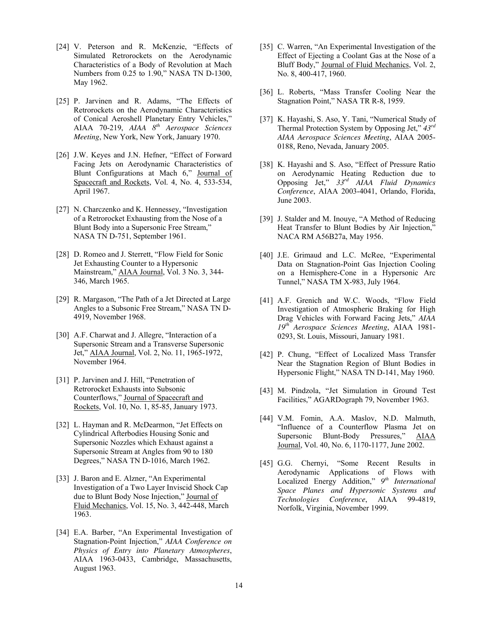- [24] V. Peterson and R. McKenzie, "Effects of Simulated Retrorockets on the Aerodynamic Characteristics of a Body of Revolution at Mach Numbers from 0.25 to 1.90," NASA TN D-1300, May 1962.
- [25] P. Jarvinen and R. Adams, "The Effects of Retrorockets on the Aerodynamic Characteristics of Conical Aeroshell Planetary Entry Vehicles," AIAA 70-219, *AIAA 8th Aerospace Sciences Meeting*, New York, New York, January 1970.
- [26] J.W. Keyes and J.N. Hefner, "Effect of Forward Facing Jets on Aerodynamic Characteristics of Blunt Configurations at Mach 6," Journal of Spacecraft and Rockets, Vol. 4, No. 4, 533-534, April 1967.
- [27] N. Charczenko and K. Hennessey, "Investigation of a Retrorocket Exhausting from the Nose of a Blunt Body into a Supersonic Free Stream," NASA TN D-751, September 1961.
- [28] D. Romeo and J. Sterrett, "Flow Field for Sonic Jet Exhausting Counter to a Hypersonic Mainstream," AIAA Journal, Vol. 3 No. 3, 344- 346, March 1965.
- [29] R. Margason, "The Path of a Jet Directed at Large Angles to a Subsonic Free Stream," NASA TN D-4919, November 1968.
- [30] A.F. Charwat and J. Allegre, "Interaction of a Supersonic Stream and a Transverse Supersonic Jet," AIAA Journal, Vol. 2, No. 11, 1965-1972, November 1964.
- [31] P. Jarvinen and J. Hill, "Penetration of Retrorocket Exhausts into Subsonic Counterflows," Journal of Spacecraft and Rockets, Vol. 10, No. 1, 85-85, January 1973.
- [32] L. Hayman and R. McDearmon, "Jet Effects on Cylindrical Afterbodies Housing Sonic and Supersonic Nozzles which Exhaust against a Supersonic Stream at Angles from 90 to 180 Degrees," NASA TN D-1016, March 1962.
- [33] J. Baron and E. Alzner, "An Experimental Investigation of a Two Layer Inviscid Shock Cap due to Blunt Body Nose Injection," Journal of Fluid Mechanics, Vol. 15, No. 3, 442-448, March 1963.
- [34] E.A. Barber, "An Experimental Investigation of Stagnation-Point Injection," *AIAA Conference on Physics of Entry into Planetary Atmospheres*, AIAA 1963-0433, Cambridge, Massachusetts, August 1963.
- [35] C. Warren, "An Experimental Investigation of the Effect of Ejecting a Coolant Gas at the Nose of a Bluff Body," Journal of Fluid Mechanics, Vol. 2, No. 8, 400-417, 1960.
- [36] L. Roberts, "Mass Transfer Cooling Near the Stagnation Point," NASA TR R-8, 1959.
- [37] K. Hayashi, S. Aso, Y. Tani, "Numerical Study of Thermal Protection System by Opposing Jet," *43rd AIAA Aerospace Sciences Meeting*, AIAA 2005- 0188, Reno, Nevada, January 2005.
- [38] K. Hayashi and S. Aso, "Effect of Pressure Ratio on Aerodynamic Heating Reduction due to Opposing Jet," *33rd AIAA Fluid Dynamics Conference*, AIAA 2003-4041, Orlando, Florida, June 2003.
- [39] J. Stalder and M. Inouye, "A Method of Reducing Heat Transfer to Blunt Bodies by Air Injection," NACA RM A56B27a, May 1956.
- [40] J.E. Grimaud and L.C. McRee, "Experimental" Data on Stagnation-Point Gas Injection Cooling on a Hemisphere-Cone in a Hypersonic Arc Tunnel," NASA TM X-983, July 1964.
- [41] A.F. Grenich and W.C. Woods, "Flow Field Investigation of Atmospheric Braking for High Drag Vehicles with Forward Facing Jets," *AIAA 19th Aerospace Sciences Meeting*, AIAA 1981- 0293, St. Louis, Missouri, January 1981.
- [42] P. Chung, "Effect of Localized Mass Transfer Near the Stagnation Region of Blunt Bodies in Hypersonic Flight," NASA TN D-141, May 1960.
- [43] M. Pindzola, "Jet Simulation in Ground Test Facilities," AGARDograph 79, November 1963.
- [44] V.M. Fomin, A.A. Maslov, N.D. Malmuth, "Influence of a Counterflow Plasma Jet on Supersonic Blunt-Body Pressures," AIAA Journal, Vol. 40, No. 6, 1170-1177, June 2002.
- [45] G.G. Chernyi, "Some Recent Results in Aerodynamic Applications of Flows with Localized Energy Addition," *9th International Space Planes and Hypersonic Systems and Technologies Conference*, AIAA 99-4819, Norfolk, Virginia, November 1999.